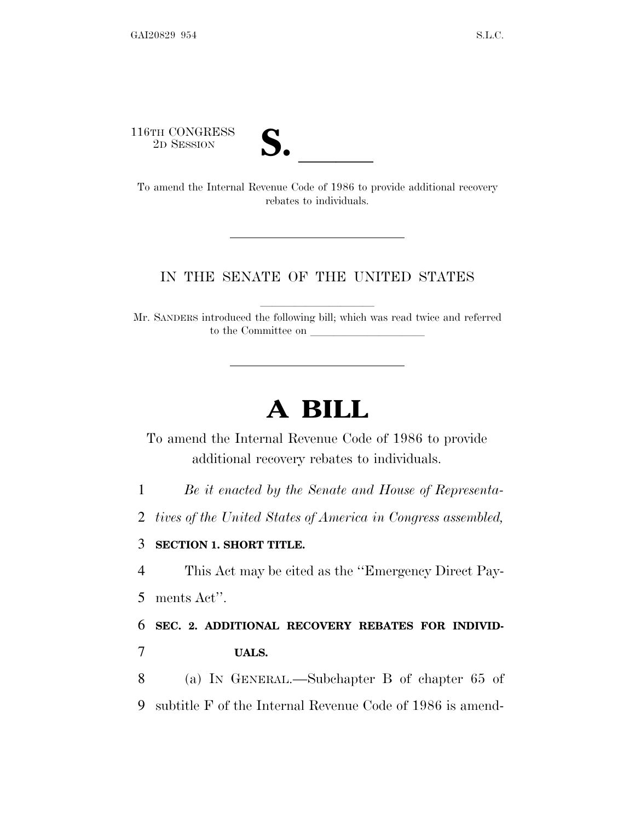116TH CONGRESS



16TH CONGRESS<br>
2D SESSION<br>
To amend the Internal Revenue Code of 1986 to provide additional recovery rebates to individuals.

#### IN THE SENATE OF THE UNITED STATES

Mr. SANDERS introduced the following bill; which was read twice and referred to the Committee on

# **A BILL**

To amend the Internal Revenue Code of 1986 to provide additional recovery rebates to individuals.

1 *Be it enacted by the Senate and House of Representa-*

2 *tives of the United States of America in Congress assembled,*

#### 3 **SECTION 1. SHORT TITLE.**

4 This Act may be cited as the ''Emergency Direct Pay-

5 ments Act''.

## 6 **SEC. 2. ADDITIONAL RECOVERY REBATES FOR INDIVID-**7 **UALS.**

8 (a) I<sup>N</sup> GENERAL.—Subchapter B of chapter 65 of 9 subtitle F of the Internal Revenue Code of 1986 is amend-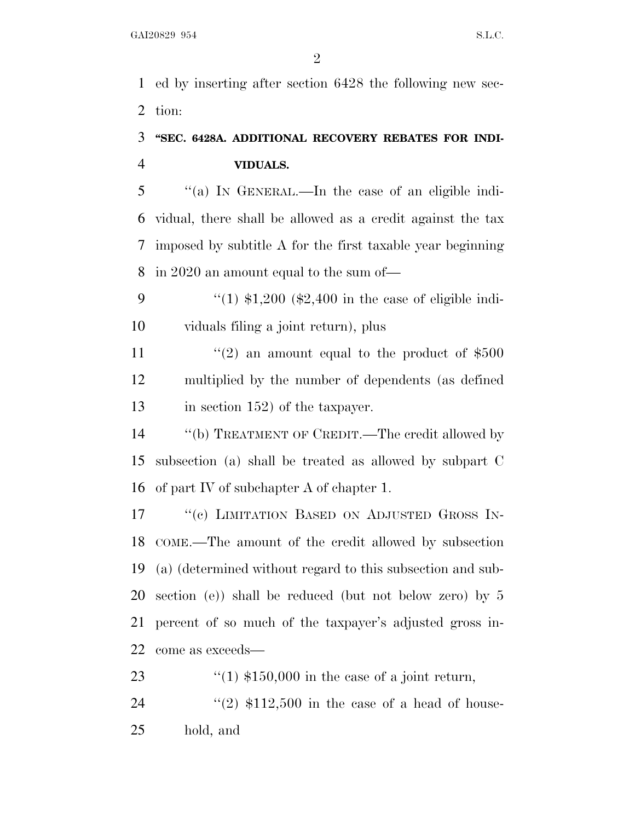ed by inserting after section 6428 the following new sec-tion:

### **''SEC. 6428A. ADDITIONAL RECOVERY REBATES FOR INDI-VIDUALS.**

 ''(a) I<sup>N</sup> GENERAL.—In the case of an eligible indi- vidual, there shall be allowed as a credit against the tax imposed by subtitle A for the first taxable year beginning in 2020 an amount equal to the sum of—

9  $\frac{4}{1}$  \$1,200 (\$2,400 in the case of eligible indi-viduals filing a joint return), plus

11  $\frac{1}{2}$  an amount equal to the product of \$500 multiplied by the number of dependents (as defined 13 in section 152) of the taxpayer.

 ''(b) TREATMENT OF CREDIT.—The credit allowed by subsection (a) shall be treated as allowed by subpart C of part IV of subchapter A of chapter 1.

17 <sup>"</sup>(c) LIMITATION BASED ON ADJUSTED GROSS IN- COME.—The amount of the credit allowed by subsection (a) (determined without regard to this subsection and sub- section (e)) shall be reduced (but not below zero) by 5 percent of so much of the taxpayer's adjusted gross in-come as exceeds—

23  $\frac{1}{2}$  (1) \$150,000 in the case of a joint return, 24  $(2)$  \$112,500 in the case of a head of house-hold, and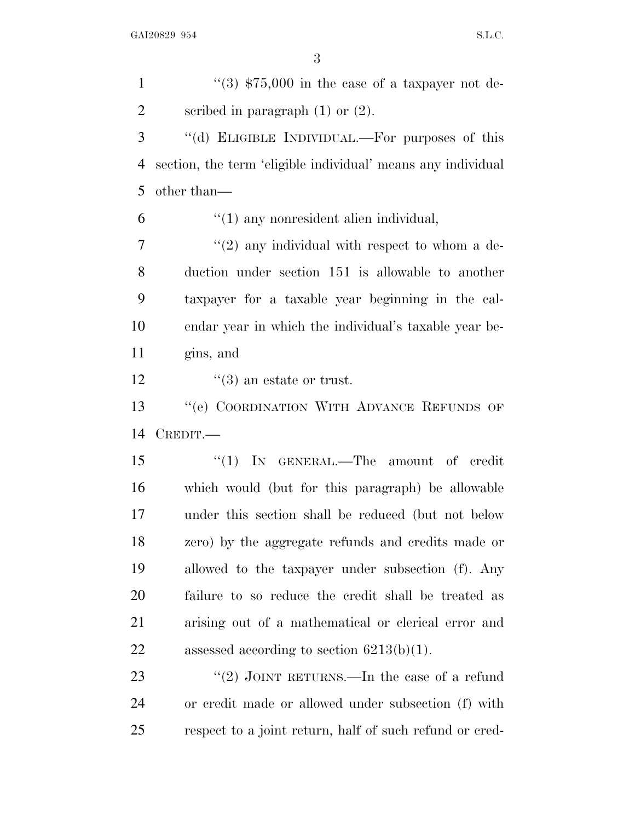1  $\frac{4}{3}$   $\frac{$75,000}{1}$  in the case of a taxpayer not de-2 scribed in paragraph  $(1)$  or  $(2)$ .

 ''(d) ELIGIBLE INDIVIDUAL.—For purposes of this section, the term 'eligible individual' means any individual other than—

 $\frac{4}{1}$  any nonresident alien individual,

 $\frac{7}{2}$  ''(2) any individual with respect to whom a de- duction under section 151 is allowable to another taxpayer for a taxable year beginning in the cal- endar year in which the individual's taxable year be-gins, and

12  $\frac{1}{3}$  an estate or trust.

 ''(e) COORDINATION WITH ADVANCE REFUNDS OF CREDIT.—

15 "(1) In GENERAL.—The amount of credit which would (but for this paragraph) be allowable under this section shall be reduced (but not below zero) by the aggregate refunds and credits made or allowed to the taxpayer under subsection (f). Any failure to so reduce the credit shall be treated as arising out of a mathematical or clerical error and 22 assessed according to section  $6213(b)(1)$ .

23 "(2) JOINT RETURNS.—In the case of a refund or credit made or allowed under subsection (f) with respect to a joint return, half of such refund or cred-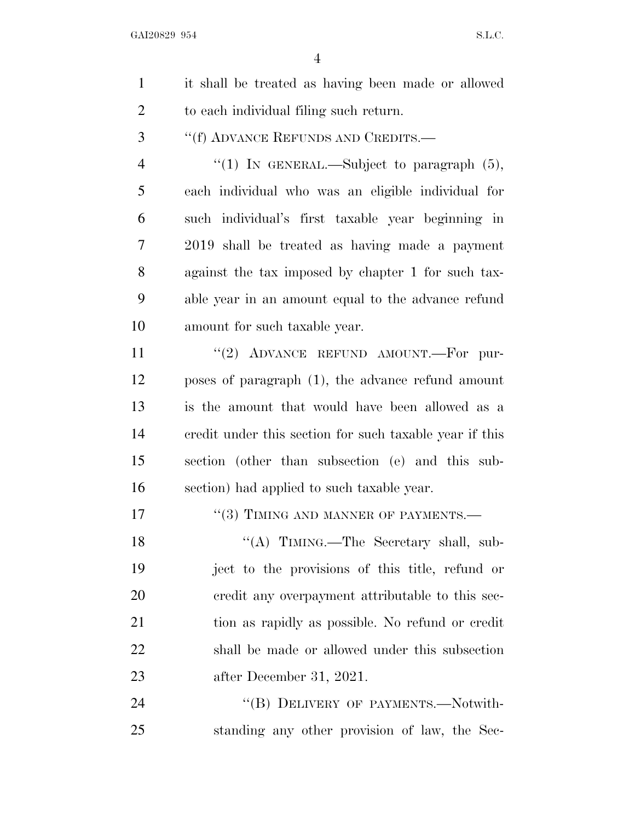| $\mathbf{1}$   | it shall be treated as having been made or allowed      |
|----------------|---------------------------------------------------------|
| $\overline{2}$ | to each individual filing such return.                  |
| 3              | "(f) ADVANCE REFUNDS AND CREDITS.—                      |
| $\overline{4}$ | "(1) IN GENERAL.—Subject to paragraph $(5)$ ,           |
| 5              | each individual who was an eligible individual for      |
| 6              | such individual's first taxable year beginning in       |
| 7              | 2019 shall be treated as having made a payment          |
| 8              | against the tax imposed by chapter 1 for such tax-      |
| 9              | able year in an amount equal to the advance refund      |
| 10             | amount for such taxable year.                           |
| 11             | "(2) ADVANCE REFUND AMOUNT.—For pur-                    |
| 12             | poses of paragraph (1), the advance refund amount       |
| 13             | is the amount that would have been allowed as a         |
| 14             | credit under this section for such taxable year if this |
| 15             | section (other than subsection (e) and this sub-        |
| 16             | section) had applied to such taxable year.              |
| 17             | "(3) TIMING AND MANNER OF PAYMENTS.-                    |
| 18             | "(A) TIMING.—The Secretary shall, sub-                  |
| 19             | ject to the provisions of this title, refund or         |
| 20             | eredit any overpayment attributable to this sec-        |
| 21             | tion as rapidly as possible. No refund or credit        |
| 22             | shall be made or allowed under this subsection          |
| 23             | after December 31, 2021.                                |
| 24             | "(B) DELIVERY OF PAYMENTS.—Notwith-                     |
| 25             | standing any other provision of law, the Sec-           |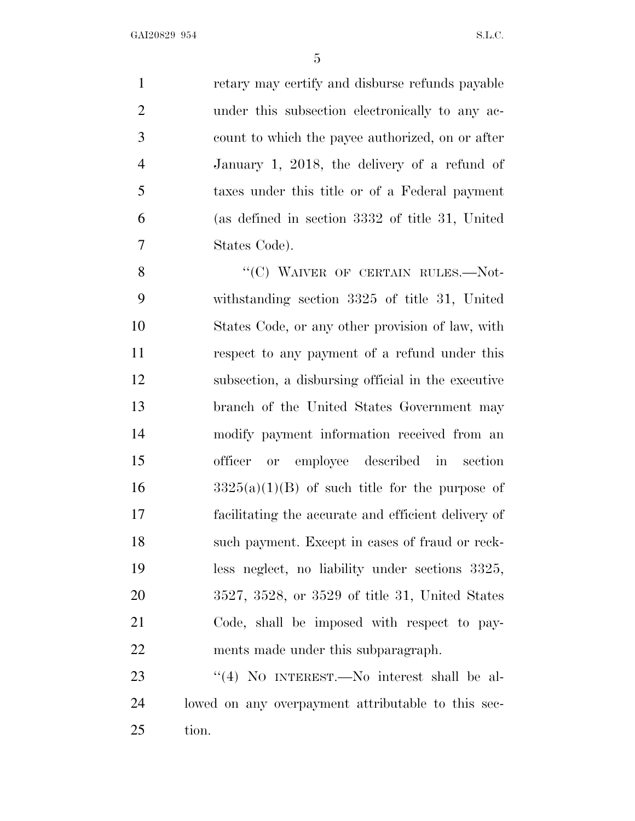retary may certify and disburse refunds payable under this subsection electronically to any ac- count to which the payee authorized, on or after January 1, 2018, the delivery of a refund of taxes under this title or of a Federal payment (as defined in section 3332 of title 31, United States Code).

8 "(C) WAIVER OF CERTAIN RULES.—Not- withstanding section 3325 of title 31, United States Code, or any other provision of law, with respect to any payment of a refund under this subsection, a disbursing official in the executive branch of the United States Government may modify payment information received from an officer or employee described in section  $3325(a)(1)(B)$  of such title for the purpose of facilitating the accurate and efficient delivery of such payment. Except in cases of fraud or reck- less neglect, no liability under sections 3325, 3527, 3528, or 3529 of title 31, United States Code, shall be imposed with respect to pay-ments made under this subparagraph.

23 "(4) No INTEREST.—No interest shall be al- lowed on any overpayment attributable to this sec-tion.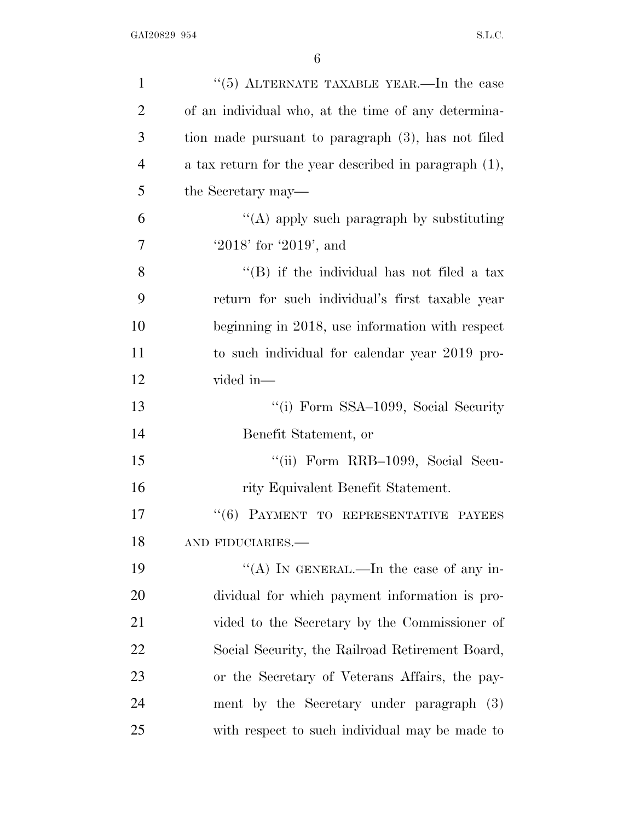| $\mathbf{1}$   | "(5) ALTERNATE TAXABLE YEAR.—In the case                 |
|----------------|----------------------------------------------------------|
| $\overline{2}$ | of an individual who, at the time of any determina-      |
| 3              | tion made pursuant to paragraph (3), has not filed       |
| $\overline{4}$ | a tax return for the year described in paragraph $(1)$ , |
| 5              | the Secretary may—                                       |
| 6              | "(A) apply such paragraph by substituting                |
| 7              | $2018'$ for $2019'$ , and                                |
| 8              | "(B) if the individual has not filed a tax               |
| 9              | return for such individual's first taxable year          |
| 10             | beginning in 2018, use information with respect          |
| 11             | to such individual for calendar year 2019 pro-           |
| 12             | vided in-                                                |
| 13             | "(i) Form SSA-1099, Social Security                      |
| 14             | Benefit Statement, or                                    |
| 15             | "(ii) Form RRB-1099, Social Secu-                        |
| 16             | rity Equivalent Benefit Statement.                       |
| 17             | "(6) PAYMENT TO REPRESENTATIVE PAYEES                    |
| 18             | AND FIDUCIARIES.-                                        |
| 19             | "(A) IN GENERAL.—In the case of any in-                  |
| 20             | dividual for which payment information is pro-           |
| 21             | vided to the Secretary by the Commissioner of            |
| 22             | Social Security, the Railroad Retirement Board,          |
| 23             | or the Secretary of Veterans Affairs, the pay-           |
| 24             | ment by the Secretary under paragraph (3)                |
| 25             | with respect to such individual may be made to           |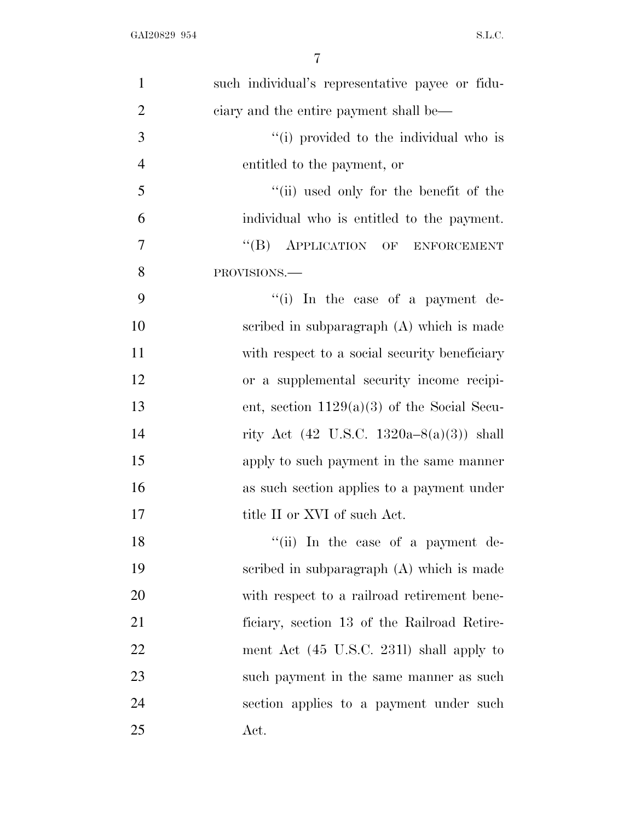| $\mathbf{1}$   | such individual's representative payee or fidu- |
|----------------|-------------------------------------------------|
| $\overline{2}$ | ciary and the entire payment shall be—          |
| 3              | "(i) provided to the individual who is          |
| $\overline{4}$ | entitled to the payment, or                     |
| 5              | "(ii) used only for the benefit of the          |
| 6              | individual who is entitled to the payment.      |
| $\overline{7}$ | $\lq\lq (B)$<br>APPLICATION OF ENFORCEMENT      |
| 8              | PROVISIONS.-                                    |
| 9              | "(i) In the case of a payment de-               |
| 10             | scribed in subparagraph $(A)$ which is made     |
| 11             | with respect to a social security beneficiary   |
| 12             | or a supplemental security income recipi-       |
| 13             | ent, section $1129(a)(3)$ of the Social Secu-   |
| 14             | rity Act (42 U.S.C. 1320a–8(a)(3)) shall        |
| 15             | apply to such payment in the same manner        |
| 16             | as such section applies to a payment under      |
| 17             | title II or XVI of such Act.                    |
| 18             | "(ii) In the case of a payment de-              |
| 19             | scribed in subparagraph (A) which is made       |
| 20             | with respect to a railroad retirement bene-     |
| 21             | ficiary, section 13 of the Railroad Retire-     |
| 22             | ment Act (45 U.S.C. 2311) shall apply to        |
| 23             | such payment in the same manner as such         |
| 24             | section applies to a payment under such         |
| 25             | Act.                                            |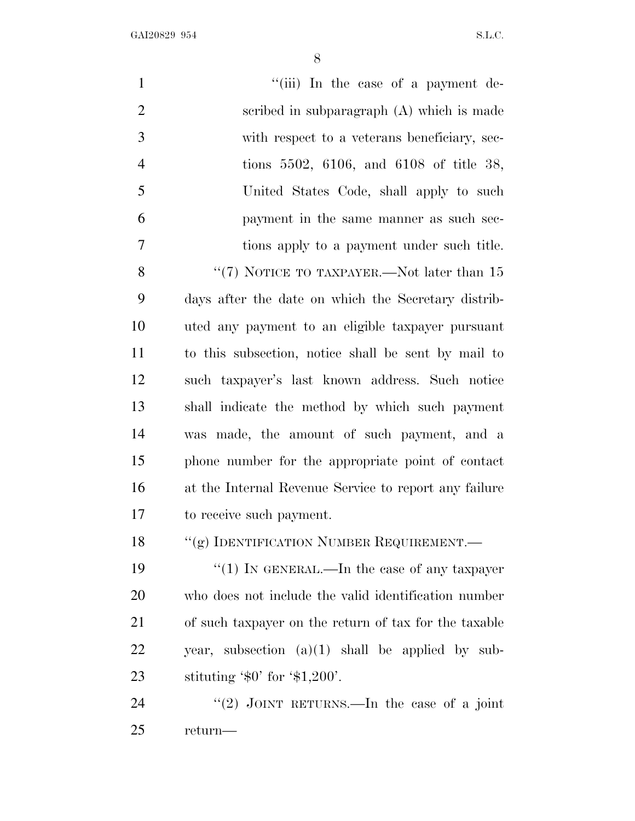| $\mathbf{1}$   | "(iii) In the case of a payment de-                   |
|----------------|-------------------------------------------------------|
| $\overline{2}$ | scribed in subparagraph $(A)$ which is made           |
| 3              | with respect to a veterans beneficiary, sec-          |
| $\overline{4}$ | tions $5502, 6106,$ and $6108$ of title 38,           |
| 5              | United States Code, shall apply to such               |
| 6              | payment in the same manner as such sec-               |
| 7              | tions apply to a payment under such title.            |
| 8              | "(7) NOTICE TO TAXPAYER.—Not later than $15$          |
| 9              | days after the date on which the Secretary distrib-   |
| 10             | uted any payment to an eligible taxpayer pursuant     |
| 11             | to this subsection, notice shall be sent by mail to   |
| 12             | such taxpayer's last known address. Such notice       |
| 13             | shall indicate the method by which such payment       |
| 14             | was made, the amount of such payment, and a           |
| 15             | phone number for the appropriate point of contact     |
| 16             | at the Internal Revenue Service to report any failure |
| 17             | to receive such payment.                              |
| 18             | "(g) IDENTIFICATION NUMBER REQUIREMENT.               |
| 19             | "(1) IN GENERAL.—In the case of any taxpayer          |
| 20             | who does not include the valid identification number  |
| 21             | of such taxpayer on the return of tax for the taxable |
| 22             | year, subsection $(a)(1)$ shall be applied by sub-    |
| 23             | stituting ' $$0'$ for ' $$1,200'$ .                   |
| 24             | "(2) JOINT RETURNS.—In the case of a joint            |
| 25             | return—                                               |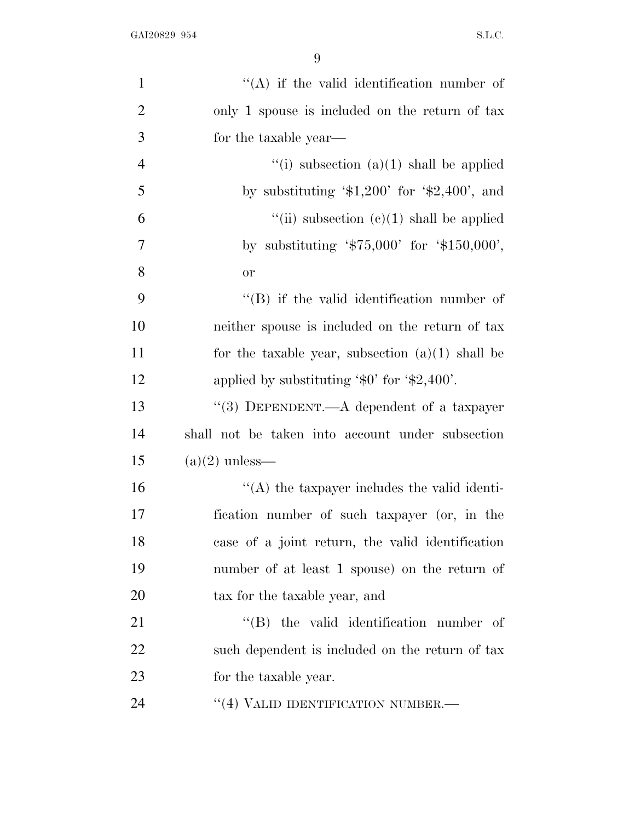| $\mathbf{1}$   | $\lq\lq$ if the valid identification number of                                      |
|----------------|-------------------------------------------------------------------------------------|
| $\overline{2}$ | only 1 spouse is included on the return of tax                                      |
| 3              | for the taxable year—                                                               |
| $\overline{4}$ | "(i) subsection $(a)(1)$ shall be applied                                           |
| 5              | by substituting $\$1,200'$ for $\$2,400'$ , and                                     |
| 6              | "(ii) subsection $(e)(1)$ shall be applied                                          |
| $\overline{7}$ | by substituting $\text{\textdegree{*}}75,000'$ for $\text{\textdegree{*}}150,000',$ |
| 8              | <b>or</b>                                                                           |
| 9              | $\lq\lq$ if the valid identification number of                                      |
| 10             | neither spouse is included on the return of tax                                     |
| 11             | for the taxable year, subsection $(a)(1)$ shall be                                  |
| 12             | applied by substituting ' $$0'$ for ' $$2,400'$ .                                   |
| 13             | "(3) DEPENDENT.—A dependent of a taxpayer                                           |
| 14             | shall not be taken into account under subsection                                    |
| 15             | $(a)(2)$ unless—                                                                    |
| 16             | $\lq\lq$ the taxpayer includes the valid identi-                                    |
| 17             | fication number of such taxpayer (or, in the                                        |
| 18             | case of a joint return, the valid identification                                    |
| 19             | number of at least 1 spouse) on the return of                                       |
| 20             | tax for the taxable year, and                                                       |
| 21             | $\lq\lq$ the valid identification number of                                         |
| 22             | such dependent is included on the return of tax                                     |
| 23             | for the taxable year.                                                               |
| 24             | "(4) VALID IDENTIFICATION NUMBER.-                                                  |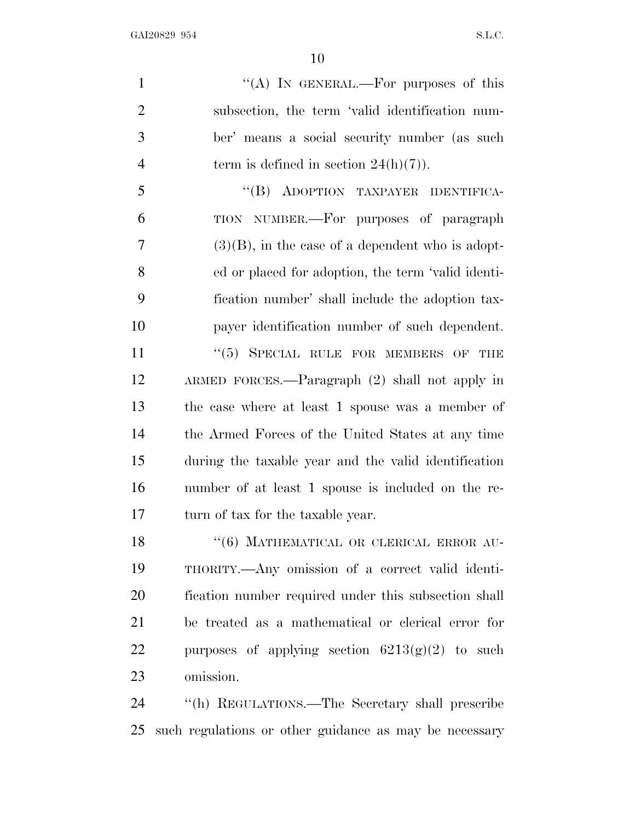| $\mathbf{1}$   | "(A) IN GENERAL.—For purposes of this                   |
|----------------|---------------------------------------------------------|
| $\overline{2}$ | subsection, the term 'valid identification num-         |
| 3              | ber' means a social security number (as such            |
| $\overline{4}$ | term is defined in section $24(h)(7)$ .                 |
| 5              | "(B) ADOPTION TAXPAYER IDENTIFICA-                      |
| 6              | TION NUMBER.—For purposes of paragraph                  |
| $\overline{7}$ | $(3)(B)$ , in the case of a dependent who is adopt-     |
| 8              | ed or placed for adoption, the term 'valid identi-      |
| 9              | fication number' shall include the adoption tax-        |
| 10             | payer identification number of such dependent.          |
| 11             | $(5)$ SPECIAL RULE FOR MEMBERS OF<br>THE                |
| 12             | ARMED FORCES.— $\Gamma$ aragraph (2) shall not apply in |
| 13             | the case where at least 1 spouse was a member of        |
| 14             | the Armed Forces of the United States at any time       |
| 15             | during the taxable year and the valid identification    |
| 16             | number of at least 1 spouse is included on the re-      |
| 17             | turn of tax for the taxable year.                       |
| 18             | "(6) MATHEMATICAL OR CLERICAL ERROR AU-                 |
| 19             | THORITY.—Any omission of a correct valid identi-        |
| 20             | fication number required under this subsection shall    |
| 21             | be treated as a mathematical or clerical error for      |
| 22             | purposes of applying section $6213(g)(2)$ to such       |
| 23             | omission.                                               |
| 24             | "(h) REGULATIONS.—The Secretary shall prescribe         |

such regulations or other guidance as may be necessary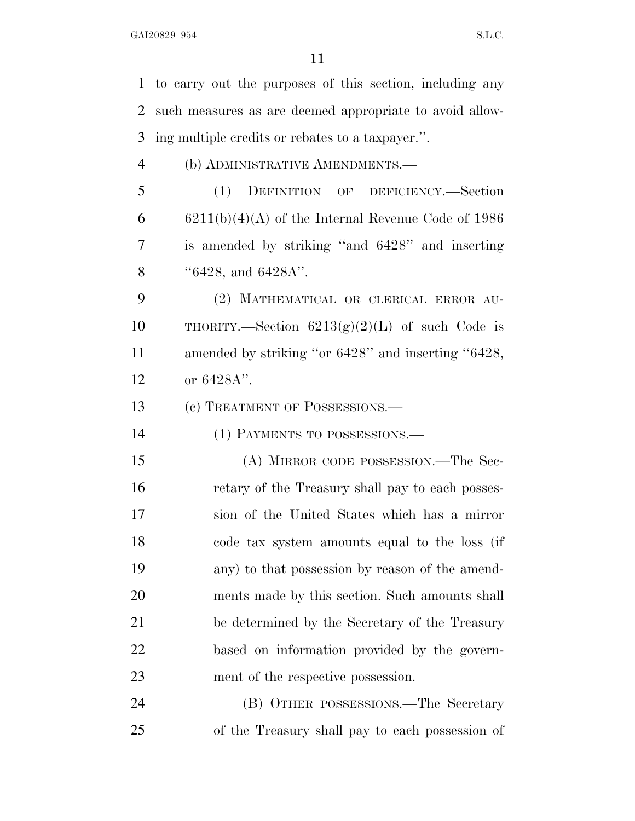to carry out the purposes of this section, including any such measures as are deemed appropriate to avoid allow- ing multiple credits or rebates to a taxpayer.''. (b) ADMINISTRATIVE AMENDMENTS.— (1) DEFINITION OF DEFICIENCY.—Section 6 6211(b)(4)(A) of the Internal Revenue Code of 1986 is amended by striking ''and 6428'' and inserting 8 "6428, and 6428A". (2) MATHEMATICAL OR CLERICAL ERROR AU-10 THORITY.—Section  $6213(g)(2)(L)$  of such Code is amended by striking ''or 6428'' and inserting ''6428, or 6428A''. 13 (c) TREATMENT OF POSSESSIONS.— 14 (1) PAYMENTS TO POSSESSIONS.— (A) MIRROR CODE POSSESSION.—The Sec- retary of the Treasury shall pay to each posses- sion of the United States which has a mirror code tax system amounts equal to the loss (if any) to that possession by reason of the amend- ments made by this section. Such amounts shall be determined by the Secretary of the Treasury based on information provided by the govern-ment of the respective possession.

 (B) OTHER POSSESSIONS.—The Secretary of the Treasury shall pay to each possession of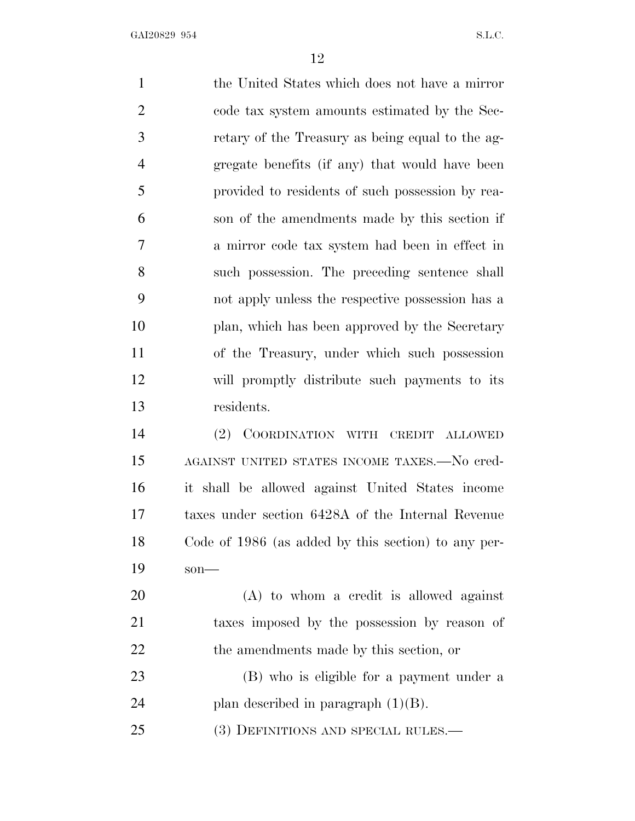the United States which does not have a mirror code tax system amounts estimated by the Sec- retary of the Treasury as being equal to the ag- gregate benefits (if any) that would have been provided to residents of such possession by rea- son of the amendments made by this section if a mirror code tax system had been in effect in such possession. The preceding sentence shall not apply unless the respective possession has a 10 plan, which has been approved by the Secretary of the Treasury, under which such possession will promptly distribute such payments to its residents. (2) COORDINATION WITH CREDIT ALLOWED AGAINST UNITED STATES INCOME TAXES.—No cred- it shall be allowed against United States income taxes under section 6428A of the Internal Revenue Code of 1986 (as added by this section) to any per- son— (A) to whom a credit is allowed against taxes imposed by the possession by reason of the amendments made by this section, or (B) who is eligible for a payment under a 24 plan described in paragraph  $(1)(B)$ . (3) DEFINITIONS AND SPECIAL RULES.—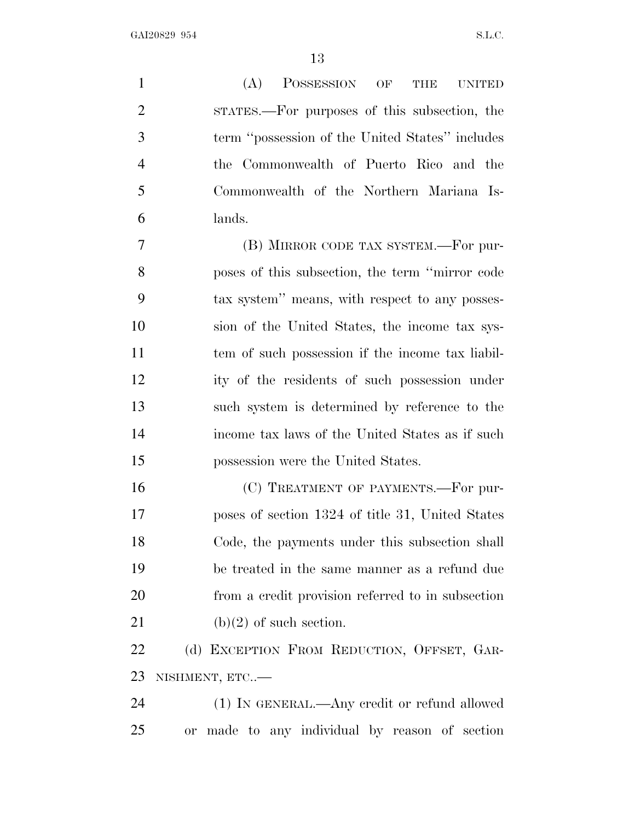(A) POSSESSION OF THE UNITED STATES.—For purposes of this subsection, the term ''possession of the United States'' includes the Commonwealth of Puerto Rico and the Commonwealth of the Northern Mariana Is- lands. (B) MIRROR CODE TAX SYSTEM.—For pur-

 poses of this subsection, the term ''mirror code tax system'' means, with respect to any posses- sion of the United States, the income tax sys-11 tem of such possession if the income tax liabil- ity of the residents of such possession under such system is determined by reference to the income tax laws of the United States as if such possession were the United States.

16 (C) TREATMENT OF PAYMENTS.—For pur- poses of section 1324 of title 31, United States Code, the payments under this subsection shall be treated in the same manner as a refund due from a credit provision referred to in subsection 21 (b)(2) of such section.

22 (d) EXCEPTION FROM REDUCTION, OFFSET, GAR-NISHMENT, ETC..—

 (1) IN GENERAL.—Any credit or refund allowed or made to any individual by reason of section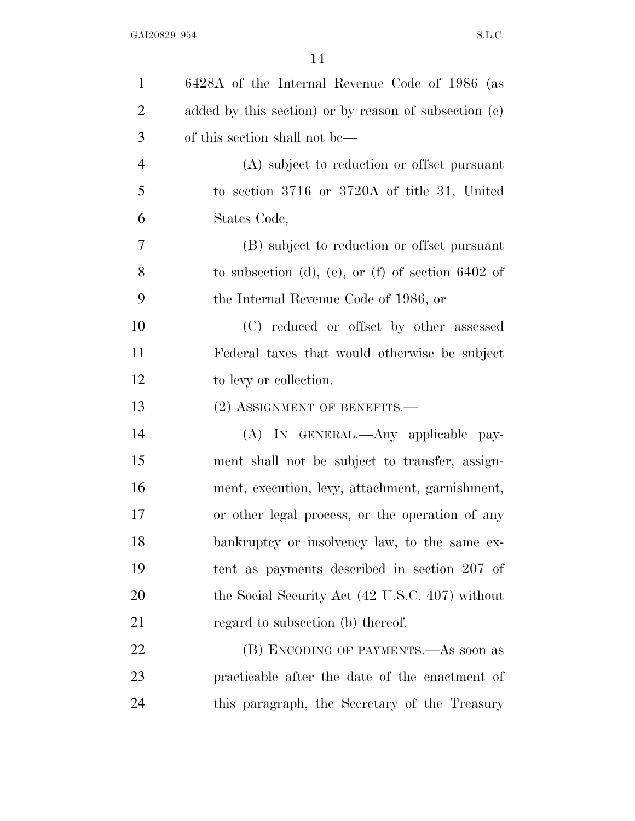| $\mathbf{1}$   | 6428A of the Internal Revenue Code of 1986 (as        |
|----------------|-------------------------------------------------------|
| $\overline{2}$ | added by this section) or by reason of subsection (c) |
| 3              | of this section shall not be—                         |
| $\overline{4}$ | (A) subject to reduction or offset pursuant           |
| 5              | to section 3716 or 3720A of title 31, United          |
| 6              | States Code,                                          |
| 7              | (B) subject to reduction or offset pursuant           |
| 8              | to subsection (d), (e), or (f) of section $6402$ of   |
| 9              | the Internal Revenue Code of 1986, or                 |
| 10             | (C) reduced or offset by other assessed               |
| 11             | Federal taxes that would otherwise be subject         |
| 12             | to levy or collection.                                |
| 13             | $(2)$ ASSIGNMENT OF BENEFITS.—                        |
| 14             | (A) IN GENERAL.—Any applicable pay-                   |
| 15             | ment shall not be subject to transfer, assign-        |
| 16             | ment, execution, levy, attachment, garnishment,       |
| 17             | or other legal process, or the operation of any       |
| 18             | bankruptcy or insolvency law, to the same ex-         |
| 19             | tent as payments described in section 207 of          |
| 20             | the Social Security Act (42 U.S.C. 407) without       |
| 21             | regard to subsection (b) thereof.                     |
| 22             | (B) ENCODING OF PAYMENTS.—As soon as                  |
| 23             | practicable after the date of the enactment of        |
| 24             | this paragraph, the Secretary of the Treasury         |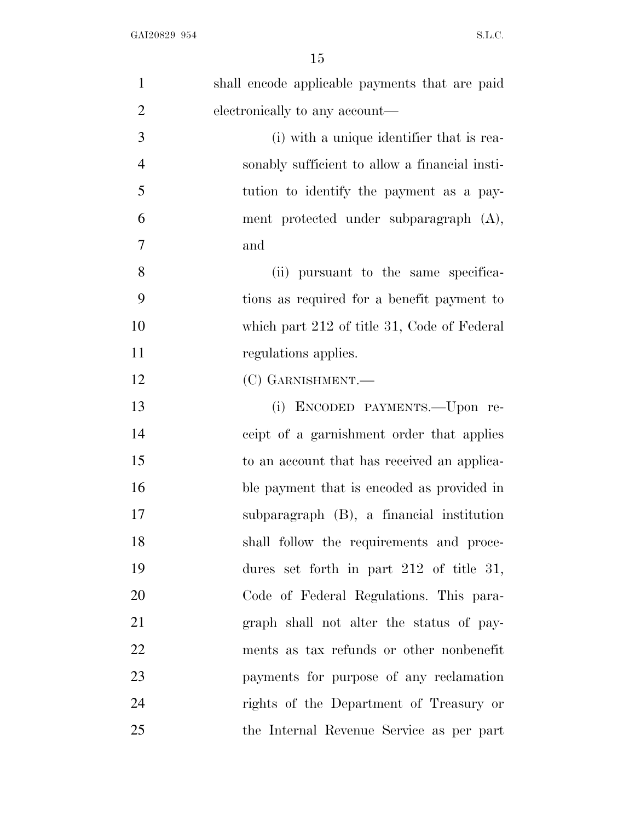| $\mathbf{1}$   | shall encode applicable payments that are paid |
|----------------|------------------------------------------------|
| $\overline{2}$ | electronically to any account—                 |
| 3              | (i) with a unique identifier that is rea-      |
| $\overline{4}$ | sonably sufficient to allow a financial insti- |
| 5              | tution to identify the payment as a pay-       |
| 6              | ment protected under subparagraph (A),         |
| 7              | and                                            |
| 8              | (ii) pursuant to the same specifica-           |
| 9              | tions as required for a benefit payment to     |
| 10             | which part 212 of title 31, Code of Federal    |
| 11             | regulations applies.                           |
| 12             | (C) GARNISHMENT.-                              |
| 13             | (i) ENCODED PAYMENTS.—Upon re-                 |
| 14             | ceipt of a garnishment order that applies      |
| 15             | to an account that has received an applica-    |
| 16             | ble payment that is encoded as provided in     |
| 17             | subparagraph (B), a financial institution      |
| 18             | shall follow the requirements and proce-       |
| 19             | dures set forth in part $212$ of title 31,     |
| 20             | Code of Federal Regulations. This para-        |
| 21             | graph shall not alter the status of pay-       |
| 22             | ments as tax refunds or other nonbenefit       |
| 23             | payments for purpose of any reclamation        |
| 24             | rights of the Department of Treasury or        |
| 25             | the Internal Revenue Service as per part       |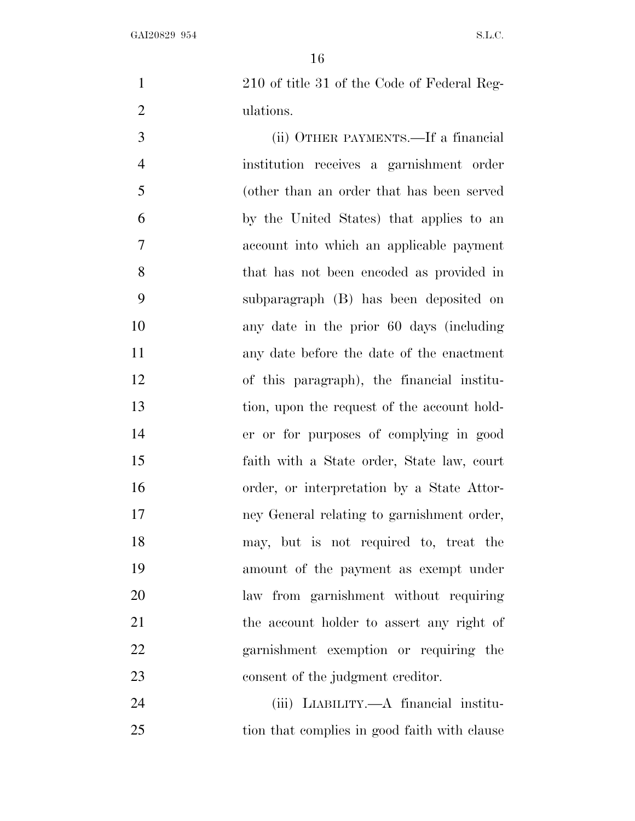210 of title 31 of the Code of Federal Reg-ulations.

 (ii) OTHER PAYMENTS.—If a financial institution receives a garnishment order (other than an order that has been served by the United States) that applies to an account into which an applicable payment that has not been encoded as provided in subparagraph (B) has been deposited on any date in the prior 60 days (including any date before the date of the enactment of this paragraph), the financial institu- tion, upon the request of the account hold- er or for purposes of complying in good faith with a State order, State law, court order, or interpretation by a State Attor- ney General relating to garnishment order, may, but is not required to, treat the amount of the payment as exempt under law from garnishment without requiring 21 the account holder to assert any right of garnishment exemption or requiring the 23 consent of the judgment creditor.

 (iii) LIABILITY.—A financial institu-tion that complies in good faith with clause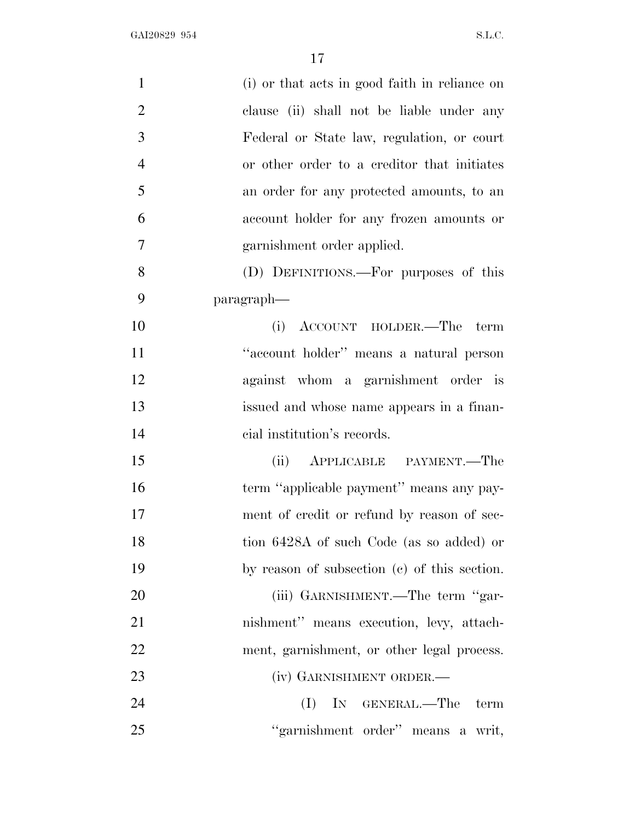| $\mathbf{1}$   | (i) or that acts in good faith in reliance on |
|----------------|-----------------------------------------------|
| $\overline{2}$ | clause (ii) shall not be liable under any     |
| 3              | Federal or State law, regulation, or court    |
| $\overline{4}$ | or other order to a creditor that initiates   |
| 5              | an order for any protected amounts, to an     |
| 6              | account holder for any frozen amounts or      |
| $\overline{7}$ | garnishment order applied.                    |
| 8              | (D) DEFINITIONS.—For purposes of this         |
| 9              | paragraph—                                    |
| 10             | (i) ACCOUNT HOLDER.—The term                  |
| 11             | "account holder" means a natural person       |
| 12             | against whom a garnishment order is           |
| 13             | issued and whose name appears in a finan-     |
| 14             | cial institution's records.                   |
| 15             | APPLICABLE PAYMENT.—The<br>(ii)               |
| 16             | term "applicable payment" means any pay-      |
| 17             | ment of credit or refund by reason of sec-    |
| 18             | tion 6428A of such Code (as so added) or      |
| 19             | by reason of subsection (c) of this section.  |
| 20             | (iii) GARNISHMENT.—The term "gar-             |
| 21             | nishment" means execution, levy, attach-      |
| 22             | ment, garnishment, or other legal process.    |
| 23             | (iv) GARNISHMENT ORDER.—                      |
| 24             | (I)<br>IN GENERAL.—The<br>term                |
| 25             | "garnishment order" means a writ,             |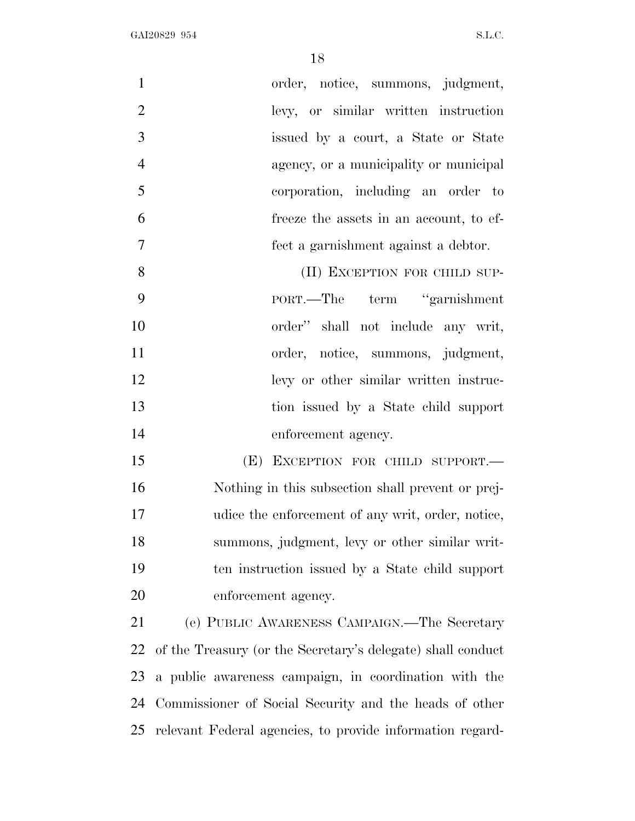| $\mathbf{1}$    | order, notice, summons, judgment,                  |
|-----------------|----------------------------------------------------|
| 2               | levy, or similar written instruction               |
| 3               | issued by a court, a State or State                |
| $\overline{4}$  | agency, or a municipality or municipal             |
| 5               | corporation, including an order to                 |
| 6               | freeze the assets in an account, to ef-            |
| $\overline{7}$  | fect a garnishment against a debtor.               |
| 8               | (II) EXCEPTION FOR CHILD SUP-                      |
| 9               | PORT.—The term "garnishment"                       |
| 10              | order" shall not include any writ,                 |
| 11              | order, notice, summons, judgment,                  |
| 12 <sup>°</sup> | $\frac{1}{2}$ or other similar written instruction |

 levy or other similar written instruc- tion issued by a State child support 14 enforcement agency.

 (E) EXCEPTION FOR CHILD SUPPORT.— Nothing in this subsection shall prevent or prej-17 udice the enforcement of any writ, order, notice, summons, judgment, levy or other similar writ- ten instruction issued by a State child support enforcement agency.

 (e) PUBLIC AWARENESS CAMPAIGN.—The Secretary of the Treasury (or the Secretary's delegate) shall conduct a public awareness campaign, in coordination with the Commissioner of Social Security and the heads of other relevant Federal agencies, to provide information regard-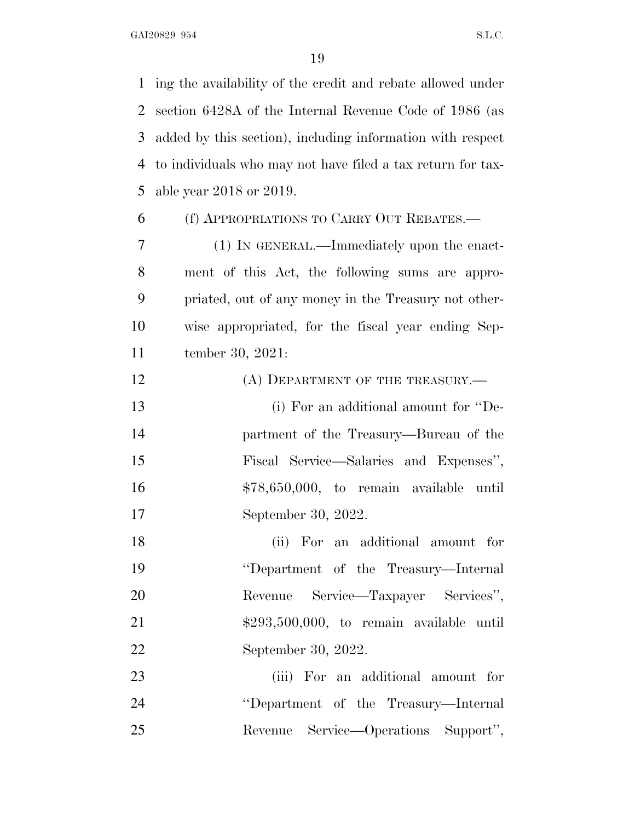ing the availability of the credit and rebate allowed under section 6428A of the Internal Revenue Code of 1986 (as added by this section), including information with respect to individuals who may not have filed a tax return for tax- able year 2018 or 2019. (f) APPROPRIATIONS TO CARRY OUT REBATES.— (1) IN GENERAL.—Immediately upon the enact- ment of this Act, the following sums are appro- priated, out of any money in the Treasury not other- wise appropriated, for the fiscal year ending Sep- tember 30, 2021: 12 (A) DEPARTMENT OF THE TREASURY.— (i) For an additional amount for ''De- partment of the Treasury—Bureau of the Fiscal Service—Salaries and Expenses'', \$78,650,000, to remain available until September 30, 2022. (ii) For an additional amount for ''Department of the Treasury—Internal Revenue Service—Taxpayer Services'', \$293,500,000, to remain available until September 30, 2022. (iii) For an additional amount for ''Department of the Treasury—Internal Revenue Service—Operations Support'',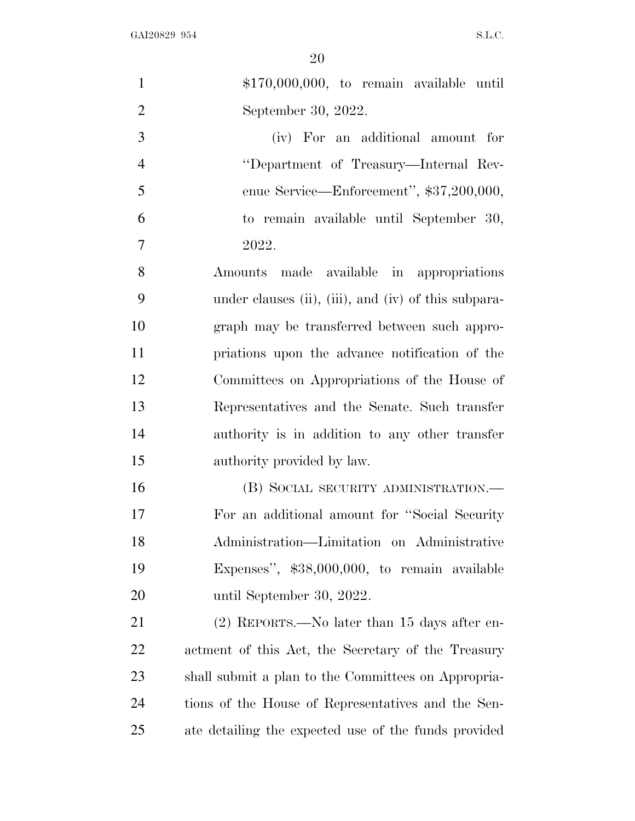| $\mathbf{1}$   | $$170,000,000,$ to remain available until            |
|----------------|------------------------------------------------------|
| $\overline{2}$ | September 30, 2022.                                  |
| 3              | (iv) For an additional amount for                    |
| $\overline{4}$ | "Department of Treasury—Internal Rev-                |
| 5              | enue Service—Enforcement", \$37,200,000,             |
| 6              | to remain available until September 30,              |
| $\overline{7}$ | 2022.                                                |
| 8              | Amounts made available in appropriations             |
| 9              | under clauses (ii), (iii), and (iv) of this subpara- |
| 10             | graph may be transferred between such appro-         |
| 11             | priations upon the advance notification of the       |
| 12             | Committees on Appropriations of the House of         |
| 13             | Representatives and the Senate. Such transfer        |
| 14             | authority is in addition to any other transfer       |
| 15             | authority provided by law.                           |
| 16             | (B) SOCIAL SECURITY ADMINISTRATION.—                 |
| 17             | For an additional amount for "Social Security"       |
| 18             | Administration—Limitation on Administrative          |
| 19             | Expenses", $$38,000,000$ , to remain available       |
| 20             | until September 30, 2022.                            |
| 21             | $(2)$ REPORTS.—No later than 15 days after en-       |
| 22             | actment of this Act, the Secretary of the Treasury   |
| 23             | shall submit a plan to the Committees on Appropria-  |
| 24             | tions of the House of Representatives and the Sen-   |
| 25             | ate detailing the expected use of the funds provided |